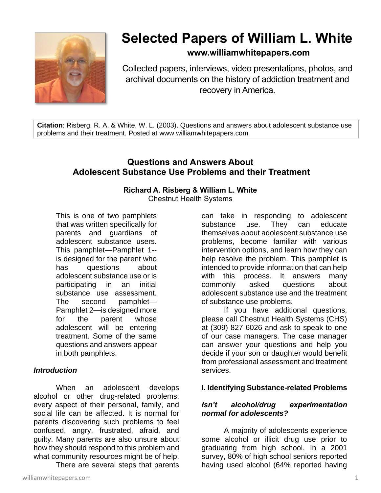

# **Selected Papers of William L. White**

## **www.williamwhitepapers.com**

Collected papers, interviews, video presentations, photos, and archival documents on the history of addiction treatment and recovery in America.

**Citation**: Risberg, R. A. & White, W. L. (2003). Questions and answers about adolescent substance use problems and their treatment. Posted at www.williamwhitepapers.com

## **Questions and Answers About Adolescent Substance Use Problems and their Treatment**

## **Richard A. Risberg & William L. White**

Chestnut Health Systems

This is one of two pamphlets that was written specifically for parents and guardians of adolescent substance users. This pamphlet—Pamphlet 1- is designed for the parent who has questions about adolescent substance use or is participating in an initial substance use assessment. The second pamphlet— Pamphlet 2—is designed more for the parent whose adolescent will be entering treatment. Some of the same questions and answers appear in both pamphlets.

### *Introduction*

When an adolescent develops alcohol or other drug-related problems, every aspect of their personal, family, and social life can be affected. It is normal for parents discovering such problems to feel confused, angry, frustrated, afraid, and guilty. Many parents are also unsure about how they should respond to this problem and what community resources might be of help.

There are several steps that parents

can take in responding to adolescent substance use. They can educate themselves about adolescent substance use problems, become familiar with various intervention options, and learn how they can help resolve the problem. This pamphlet is intended to provide information that can help with this process. It answers many commonly asked questions about adolescent substance use and the treatment of substance use problems.

If you have additional questions, please call Chestnut Health Systems (CHS) at (309) 827-6026 and ask to speak to one of our case managers. The case manager can answer your questions and help you decide if your son or daughter would benefit from professional assessment and treatment services.

## **I. Identifying Substance-related Problems**

## *Isn't alcohol/drug experimentation normal for adolescents?*

A majority of adolescents experience some alcohol or illicit drug use prior to graduating from high school. In a 2001 survey, 80% of high school seniors reported having used alcohol (64% reported having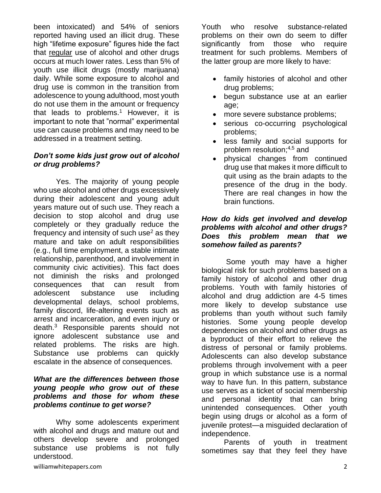been intoxicated) and 54% of seniors reported having used an illicit drug. These high "lifetime exposure" figures hide the fact that regular use of alcohol and other drugs occurs at much lower rates. Less than 5% of youth use illicit drugs (mostly marijuana) daily. While some exposure to alcohol and drug use is common in the transition from adolescence to young adulthood, most youth do not use them in the amount or frequency that leads to problems.<sup>1</sup> However, it is important to note that "normal" experimental use can cause problems and may need to be addressed in a treatment setting.

## *Don't some kids just grow out of alcohol or drug problems?*

Yes. The majority of young people who use alcohol and other drugs excessively during their adolescent and young adult years mature out of such use. They reach a decision to stop alcohol and drug use completely or they gradually reduce the frequency and intensity of such use $2$  as they mature and take on adult responsibilities (e.g., full time employment, a stable intimate relationship, parenthood, and involvement in community civic activities). This fact does not diminish the risks and prolonged consequences that can result from adolescent substance use including developmental delays, school problems, family discord, life-altering events such as arrest and incarceration, and even injury or death.<sup>3</sup> Responsible parents should not ignore adolescent substance use and related problems. The risks are high. Substance use problems can quickly escalate in the absence of consequences.

### *What are the differences between those young people who grow out of these problems and those for whom these problems continue to get worse?*

Why some adolescents experiment with alcohol and drugs and mature out and others develop severe and prolonged substance use problems is not fully understood.

Youth who resolve substance-related problems on their own do seem to differ significantly from those who require treatment for such problems. Members of the latter group are more likely to have:

- family histories of alcohol and other drug problems;
- begun substance use at an earlier age;
- more severe substance problems;
- serious co-occurring psychological problems;
- less family and social supports for problem resolution;4,5 and
- physical changes from continued drug use that makes it more difficult to quit using as the brain adapts to the presence of the drug in the body. There are real changes in how the brain functions.

## *How do kids get involved and develop problems with alcohol and other drugs? Does this problem mean that we somehow failed as parents?*

Some youth may have a higher biological risk for such problems based on a family history of alcohol and other drug problems. Youth with family histories of alcohol and drug addiction are 4-5 times more likely to develop substance use problems than youth without such family histories. Some young people develop dependencies on alcohol and other drugs as a byproduct of their effort to relieve the distress of personal or family problems. Adolescents can also develop substance problems through involvement with a peer group in which substance use is a normal way to have fun. In this pattern, substance use serves as a ticket of social membership and personal identity that can bring unintended consequences. Other youth begin using drugs or alcohol as a form of juvenile protest—a misguided declaration of independence.

Parents of youth in treatment sometimes say that they feel they have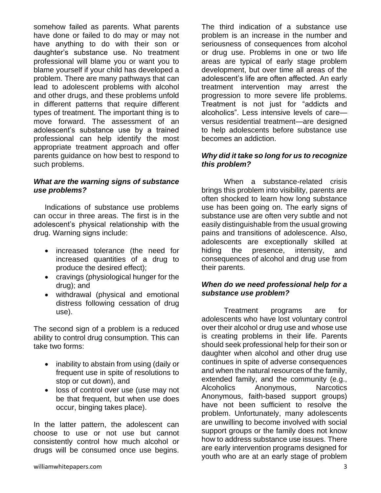somehow failed as parents. What parents have done or failed to do may or may not have anything to do with their son or daughter's substance use. No treatment professional will blame you or want you to blame yourself if your child has developed a problem. There are many pathways that can lead to adolescent problems with alcohol and other drugs, and these problems unfold in different patterns that require different types of treatment. The important thing is to move forward. The assessment of an adolescent's substance use by a trained professional can help identify the most appropriate treatment approach and offer parents guidance on how best to respond to such problems.

## *What are the warning signs of substance use problems?*

Indications of substance use problems can occur in three areas. The first is in the adolescent's physical relationship with the drug. Warning signs include:

- increased tolerance (the need for increased quantities of a drug to produce the desired effect);
- cravings (physiological hunger for the drug); and
- withdrawal (physical and emotional distress following cessation of drug use).

The second sign of a problem is a reduced ability to control drug consumption. This can take two forms:

- inability to abstain from using (daily or frequent use in spite of resolutions to stop or cut down), and
- loss of control over use (use may not be that frequent, but when use does occur, binging takes place).

In the latter pattern, the adolescent can choose to use or not use but cannot consistently control how much alcohol or drugs will be consumed once use begins. The third indication of a substance use problem is an increase in the number and seriousness of consequences from alcohol or drug use. Problems in one or two life areas are typical of early stage problem development, but over time all areas of the adolescent's life are often affected. An early treatment intervention may arrest the progression to more severe life problems. Treatment is not just for "addicts and alcoholics". Less intensive levels of care versus residential treatment—are designed to help adolescents before substance use becomes an addiction.

## *Why did it take so long for us to recognize this problem?*

When a substance-related crisis brings this problem into visibility, parents are often shocked to learn how long substance use has been going on. The early signs of substance use are often very subtle and not easily distinguishable from the usual growing pains and transitions of adolescence. Also, adolescents are exceptionally skilled at hiding the presence, intensity, and consequences of alcohol and drug use from their parents.

## *When do we need professional help for a substance use problem?*

Treatment programs are for adolescents who have lost voluntary control over their alcohol or drug use and whose use is creating problems in their life. Parents should seek professional help for their son or daughter when alcohol and other drug use continues in spite of adverse consequences and when the natural resources of the family, extended family, and the community (e.g., Alcoholics Anonymous, Narcotics Anonymous, faith-based support groups) have not been sufficient to resolve the problem. Unfortunately, many adolescents are unwilling to become involved with social support groups or the family does not know how to address substance use issues. There are early intervention programs designed for youth who are at an early stage of problem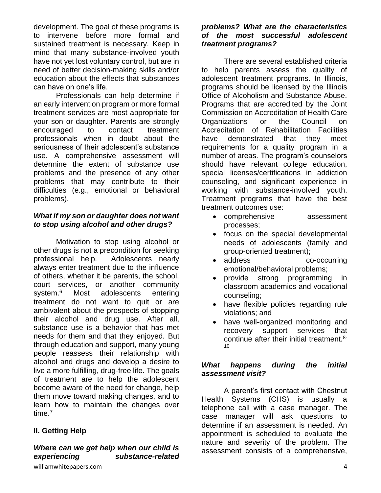development. The goal of these programs is to intervene before more formal and sustained treatment is necessary. Keep in mind that many substance-involved youth have not yet lost voluntary control, but are in need of better decision-making skills and/or education about the effects that substances can have on one's life.

Professionals can help determine if an early intervention program or more formal treatment services are most appropriate for your son or daughter. Parents are strongly encouraged to contact treatment professionals when in doubt about the seriousness of their adolescent's substance use. A comprehensive assessment will determine the extent of substance use problems and the presence of any other problems that may contribute to their difficulties (e.g., emotional or behavioral problems).

## *What if my son or daughter does not want to stop using alcohol and other drugs?*

Motivation to stop using alcohol or other drugs is not a precondition for seeking professional help. Adolescents nearly always enter treatment due to the influence of others, whether it be parents, the school, court services, or another community system.<sup>6</sup> Most adolescents entering treatment do not want to quit or are ambivalent about the prospects of stopping their alcohol and drug use. After all, substance use is a behavior that has met needs for them and that they enjoyed. But through education and support, many young people reassess their relationship with alcohol and drugs and develop a desire to live a more fulfilling, drug-free life. The goals of treatment are to help the adolescent become aware of the need for change, help them move toward making changes, and to learn how to maintain the changes over time.<sup>7</sup>

## **II. Getting Help**

## *Where can we get help when our child is experiencing substance-related*

## *problems? What are the characteristics of the most successful adolescent treatment programs?*

There are several established criteria to help parents assess the quality of adolescent treatment programs. In Illinois, programs should be licensed by the Illinois Office of Alcoholism and Substance Abuse. Programs that are accredited by the Joint Commission on Accreditation of Health Care Organizations or the Council on Accreditation of Rehabilitation Facilities have demonstrated that they meet requirements for a quality program in a number of areas. The program's counselors should have relevant college education, special licenses/certifications in addiction counseling, and significant experience in working with substance-involved youth. Treatment programs that have the best treatment outcomes use:

- comprehensive assessment processes;
- focus on the special developmental needs of adolescents (family and group-oriented treatment);
- address co-occurring emotional/behavioral problems;
- provide strong programming in classroom academics and vocational counseling;
- have flexible policies regarding rule violations; and
- have well-organized monitoring and recovery support services that continue after their initial treatment.8-  $10$

## *What happens during the initial assessment visit?*

A parent's first contact with Chestnut Health Systems (CHS) is usually a telephone call with a case manager. The case manager will ask questions to determine if an assessment is needed. An appointment is scheduled to evaluate the nature and severity of the problem. The assessment consists of a comprehensive,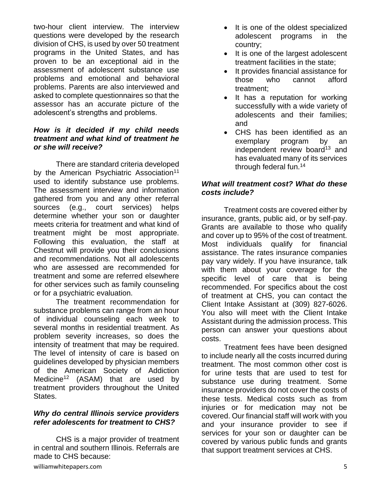two-hour client interview. The interview questions were developed by the research division of CHS, is used by over 50 treatment programs in the United States, and has proven to be an exceptional aid in the assessment of adolescent substance use problems and emotional and behavioral problems. Parents are also interviewed and asked to complete questionnaires so that the assessor has an accurate picture of the adolescent's strengths and problems.

### *How is it decided if my child needs treatment and what kind of treatment he or she will receive?*

There are standard criteria developed by the American Psychiatric Association<sup>11</sup> used to identify substance use problems. The assessment interview and information gathered from you and any other referral sources (e.g., court services) helps determine whether your son or daughter meets criteria for treatment and what kind of treatment might be most appropriate. Following this evaluation, the staff at Chestnut will provide you their conclusions and recommendations. Not all adolescents who are assessed are recommended for treatment and some are referred elsewhere for other services such as family counseling or for a psychiatric evaluation.

The treatment recommendation for substance problems can range from an hour of individual counseling each week to several months in residential treatment. As problem severity increases, so does the intensity of treatment that may be required. The level of intensity of care is based on guidelines developed by physician members of the American Society of Addiction Medicine<sup>12</sup> (ASAM) that are used by treatment providers throughout the United States.

## *Why do central Illinois service providers refer adolescents for treatment to CHS?*

CHS is a major provider of treatment in central and southern Illinois. Referrals are made to CHS because:

- It is one of the oldest specialized adolescent programs in the country;
- It is one of the largest adolescent treatment facilities in the state;
- It provides financial assistance for those who cannot afford treatment;
- It has a reputation for working successfully with a wide variety of adolescents and their families; and
- CHS has been identified as an exemplary program by an independent review board $13$  and has evaluated many of its services through federal fun.<sup>14</sup>

## *What will treatment cost? What do these costs include?*

Treatment costs are covered either by insurance, grants, public aid, or by self-pay. Grants are available to those who qualify and cover up to 95% of the cost of treatment. Most individuals qualify for financial assistance. The rates insurance companies pay vary widely. If you have insurance, talk with them about your coverage for the specific level of care that is being recommended. For specifics about the cost of treatment at CHS, you can contact the Client Intake Assistant at (309) 827-6026. You also will meet with the Client Intake Assistant during the admission process. This person can answer your questions about costs.

Treatment fees have been designed to include nearly all the costs incurred during treatment. The most common other cost is for urine tests that are used to test for substance use during treatment. Some insurance providers do not cover the costs of these tests. Medical costs such as from injuries or for medication may not be covered. Our financial staff will work with you and your insurance provider to see if services for your son or daughter can be covered by various public funds and grants that support treatment services at CHS.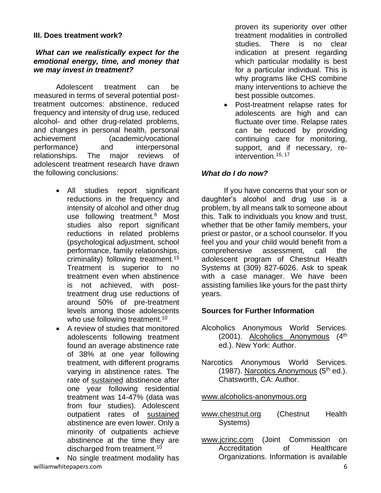### **III. Does treatment work?**

### *What can we realistically expect for the emotional energy, time, and money that we may invest in treatment?*

Adolescent treatment can be measured in terms of several potential posttreatment outcomes: abstinence, reduced frequency and intensity of drug use, reduced alcohol- and other drug-related problems, and changes in personal health, personal achievement (academic/vocational performance) and interpersonal relationships. The major reviews of adolescent treatment research have drawn the following conclusions:

- All studies report significant reductions in the frequency and intensity of alcohol and other drug use following treatment.<sup>6</sup> Most studies also report significant reductions in related problems (psychological adjustment, school performance, family relationships, criminality) following treatment.<sup>15</sup> Treatment is superior to no treatment even when abstinence is not achieved, with posttreatment drug use reductions of around 50% of pre-treatment levels among those adolescents who use following treatment.<sup>10</sup>
- A review of studies that monitored adolescents following treatment found an average abstinence rate of 38% at one year following treatment, with different programs varying in abstinence rates. The rate of sustained abstinence after one year following residential treatment was 14-47% (data was from four studies). Adolescent outpatient rates of sustained abstinence are even lower. Only a minority of outpatients achieve abstinence at the time they are discharged from treatment.<sup>10</sup>

williamwhitepapers.com 6 • No single treatment modality has

proven its superiority over other treatment modalities in controlled studies. There is no clear indication at present regarding which particular modality is best for a particular individual. This is why programs like CHS combine many interventions to achieve the best possible outcomes.

• Post-treatment relapse rates for adolescents are high and can fluctuate over time. Relapse rates can be reduced by providing continuing care for monitoring, support, and if necessary, reintervention.16, 17

## *What do I do now?*

If you have concerns that your son or daughter's alcohol and drug use is a problem, by all means talk to someone about this. Talk to individuals you know and trust, whether that be other family members, your priest or pastor, or a school counselor. If you feel you and your child would benefit from a comprehensive assessment, call the adolescent program of Chestnut Health Systems at (309) 827-6026. Ask to speak with a case manager. We have been assisting families like yours for the past thirty years.

## **Sources for Further Information**

- Alcoholics Anonymous World Services. (2001). Alcoholics Anonymous (4<sup>th</sup>) ed.). New York: Author.
- Narcotics Anonymous World Services. (1987). Narcotics Anonymous  $(5<sup>th</sup>$  ed.). Chatsworth, CA: Author.

### [www.alcoholics-anonymous.org](http://www.alcoholics-anonymous.org/)

- [www.chestnut.org](http://www.chestnut.org/) (Chestnut Health Systems)
- [www.jcrinc.com](http://www.jcrinc.com/) (Joint Commission on Accreditation of Healthcare Organizations. Information is available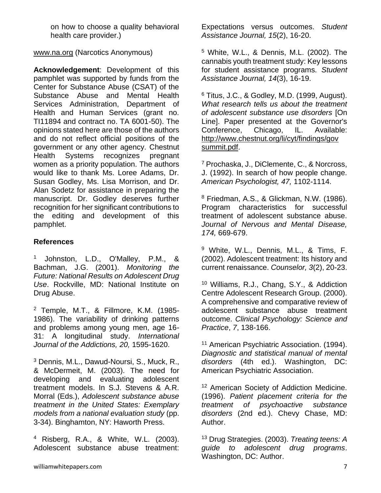on how to choose a quality behavioral health care provider.)

[www.na.org](http://www.na.org/) (Narcotics Anonymous)

**Acknowledgement**: Development of this pamphlet was supported by funds from the Center for Substance Abuse (CSAT) of the Substance Abuse and Mental Health Services Administration, Department of Health and Human Services (grant no. TI11894 and contract no. TA 6001-50). The opinions stated here are those of the authors and do not reflect official positions of the government or any other agency. Chestnut Health Systems recognizes pregnant women as a priority population. The authors would like to thank Ms. Loree Adams, Dr. Susan Godley, Ms. Lisa Morrison, and Dr. Alan Sodetz for assistance in preparing the manuscript. Dr. Godley deserves further recognition for her significant contributions to the editing and development of this pamphlet.

## **References**

<sup>1</sup> Johnston, L.D., O'Malley, P.M., & Bachman, J.G. (2001). *Monitoring the Future: National Results on Adolescent Drug Use*. Rockville, MD: National Institute on Drug Abuse.

<sup>2</sup> Temple, M.T., & Fillmore, K.M. (1985- 1986). The variability of drinking patterns and problems among young men, age 16- 31: A longitudinal study. *International Journal of the Addictions, 20,* 1595-1620.

<sup>3</sup> Dennis, M.L., Dawud-Noursi, S., Muck, R., & McDermeit, M. (2003). The need for developing and evaluating adolescent treatment models. In S.J. Stevens & A.R. Morral (Eds.), *Adolescent substance abuse treatment in the United States: Exemplary models from a national evaluation study* (pp. 3-34). Binghamton, NY: Haworth Press.

<sup>4</sup> Risberg, R.A., & White, W.L. (2003). Adolescent substance abuse treatment: Expectations versus outcomes. *Student Assistance Journal, 15*(2), 16-20.

<sup>5</sup> White, W.L., & Dennis, M.L. (2002). The cannabis youth treatment study: Key lessons for student assistance programs. *Student Assistance Journal, 14*(3), 16-19.

 $6$  Titus, J.C., & Godley, M.D. (1999, August). *What research tells us about the treatment of adolescent substance use disorders* [On Line]. Paper presented at the Governor's Conference, Chicago, IL. Available: [http://www.chestnut.org/li/cyt/findings/gov](http://www.chestnut.org/li/cyt/findings/gov%20summit.pdf)  [summit.pdf.](http://www.chestnut.org/li/cyt/findings/gov%20summit.pdf)

<sup>7</sup> Prochaska, J., DiClemente, C., & Norcross, J. (1992). In search of how people change. *American Psychologist, 47,* 1102-1114.

<sup>8</sup> Friedman, A.S., & Glickman, N.W. (1986). Program characteristics for successful treatment of adolescent substance abuse. *Journal of Nervous and Mental Disease, 174,* 669-679.

<sup>9</sup> White, W.L., Dennis, M.L., & Tims, F. (2002). Adolescent treatment: Its history and current renaissance. *Counselor, 3*(2), 20-23.

<sup>10</sup> Williams, R.J., Chang, S.Y., & Addiction Centre Adolescent Research Group. (2000). A comprehensive and comparative review of adolescent substance abuse treatment outcome. *Clinical Psychology: Science and Practice*, *7*, 138-166.

<sup>11</sup> American Psychiatric Association. (1994). *Diagnostic and statistical manual of mental disorders* (4th ed.). Washington, DC: American Psychiatric Association.

<sup>12</sup> American Society of Addiction Medicine. (1996). *Patient placement criteria for the treatment of psychoactive substance disorders* (2nd ed.). Chevy Chase, MD: Author.

<sup>13</sup> Drug Strategies. (2003). *Treating teens: A guide to adolescent drug programs*. Washington, DC: Author.